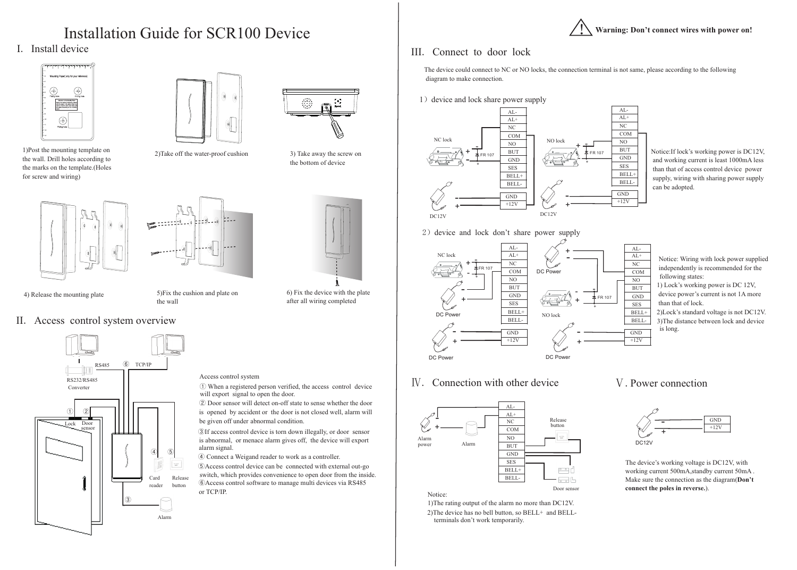





|   | $AL-$          |  |
|---|----------------|--|
|   | $AL+$          |  |
|   | NC             |  |
|   | <b>COM</b>     |  |
|   | N <sub>O</sub> |  |
| 7 | <b>BUT</b>     |  |
|   | <b>GND</b>     |  |
|   | <b>SES</b>     |  |
|   | BELL+          |  |
|   | <b>BELL-</b>   |  |
|   |                |  |
|   | <b>GND</b>     |  |
|   | $+12V$         |  |
|   |                |  |

## Installation Guide for SCR100 Device

### I. Install device





II. Access control system overview



Alarm

#### !**Warning: Don't connect wires with power on!**

### III. Connect to door lock



Notice:If lock's working power is DC12V, and working current is least 1000mA less than that of access control device power supply, wiring with sharing power supply can be adopted.



4) Release the mounting plate 5) Fix the cushion and plate on 6) Fix the device with the plate after all wiring completed

Notice: Wiring with lock power supplied independently is recommended for the following states:

1) Lock's working power is DC 12V, device power's current is not 1A more than that of lock.

2)Lock's standard voltage is not DC12V. 3)The distance between lock and device is long.

Ⅳ. Connection with other device



The device's working voltage is DC12V, with working current 500mA,standby current 50mA . Make sure the connection as the diagram(**Don't connect the poles in reverse.**).

1)Post the mounting template on the wall. Drill holes according to the marks on the template.(Holes for screw and wiring)

2) The device has no bell button, so  $BELL+$  and  $BELL$ terminals don't work temporarily.



2) device and lock don't share power supply



3) Take away the screw on the bottom of device

2)Take off the water-proof cushion





5)Fix the cushion and plate on the wall

① When a registered person verified, the access control device will export signal to open the door.

⑤Access control device can be connected with external out-go switch, which provides convenience to open door from the inside. ⑥Access control software to manage multi devices via RS485 or TCP/IP.

# $\begin{smallmatrix} 0&&0\\ &0&0\\ &0&&\end{smallmatrix}$

③If access control device is torn down illegally, or door sensor is abnormal, or menace alarm gives off, the device will export alarm signal.

④ Connect a Weigand reader to work as a controller.

Access control system

② Door sensor will detect on-off state to sense whether the door is opened by accident or the door is not closed well, alarm will be given off under abnormal condition.

The device could connect to NC or NO locks, the connection terminal is not same, please according to the following diagram to make connection.

1) device and lock share power supply

1)The rating output of the alarm no more than DC12V.

#### Ⅴ.Power connection

Notice: